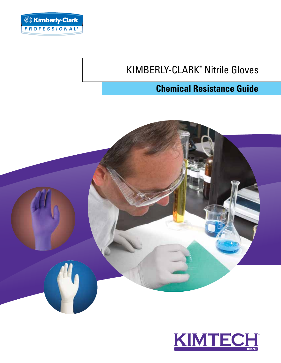

# KIMBERLY-CLARK\* Nitrile Gloves

# **Chemical Resistance Guide**



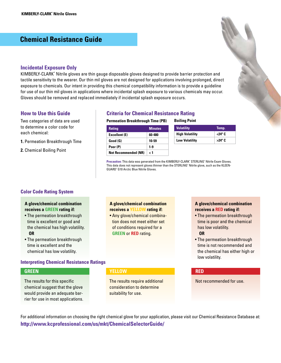### **Chemical Resistance Guide**

#### **Incidental Exposure Only**

KIMBERLY-CLARK\* Nitrile gloves are thin gauge disposable gloves designed to provide barrier protection and tactile sensitivity to the wearer. Our thin mil gloves are not designed for applications involving prolonged, direct exposure to chemicals. Our intent in providing this chemical compatibility information is to provide a guideline for use of our thin mil gloves in applications where incidental splash exposure to various chemicals may occur. Gloves should be removed and replaced immediately if incidental splash exposure occurs.

#### **How to Use this Guide**

to determine a color code for each chemical:

- **1.** Permeation Breakthrough Time
- **2.** Chemical Boiling Point

#### **Criteria for Chemical Resistance Rating**

#### **Permeation Breakthrough Time (PB)** Two categories of data are used **Permeation Breakthrough Time (PB)** Boiling Point

| <b>Rating</b>               | <b>Minutes</b> |
|-----------------------------|----------------|
| <b>Excellent (E)</b>        | 60-480         |
| Good (G)                    | 10-59          |
| Poor (P)                    | $1-9$          |
| <b>Not Recommended (NR)</b> | ا >            |

| <b>Volatility</b>      | Temp.           |
|------------------------|-----------------|
| <b>High Volatility</b> | <24° C          |
| <b>Low Volatility</b>  | $>24^{\circ}$ C |

Precaution: This data was generated from the KIMBERLY-CLARK<sup>\*</sup> STERLING<sup>\*</sup> Nitrile Exam Gloves. This data does not represent gloves thinner than the STERLING\* Nitrile glove, such as the KLEEN-GUARD\* G10 Arctic Blue Nitrile Gloves.

#### **Color Code Rating System**

#### **A glove/chemical combination receives a GREEN rating if:**

- The permeation breakthrough time is excellent or good and the chemical has high volatility. **OR**
- The permeation breakthrough time is excellent and the chemical has low volatility.

#### **Interpreting Chemical Resistance Ratings**

#### **GREEN**

The results for this specific chemical suggest that the glove would provide an adequate barrier for use in most applications.

### **A glove/chemical combination receives a YELLOW rating if:**

• Any glove/chemical combination does not meet either set of conditions required for a **GREEN** or **RED** rating.

#### **A glove/chemical combination receives a RED rating if:**

• The permeation breakthrough time is poor and the chemical has low volatility.

#### **OR**

• The permeation breakthrough time is not recommended and the chemical has either high or low volatility.

#### **YELLOW RED**

The results require additional Not recommended for use. consideration to determine suitability for use.

For additional information on choosing the right chemical glove for your application, please visit our Chemical Resistance Database at: **http://www.kcprofessional.com/us/mkt/ChemicalSelectorGuide/**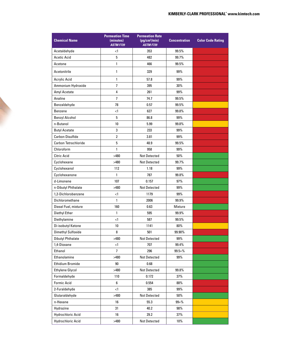| <b>Chemical Name</b>        | <b>Permeation Time</b><br>(minutes)<br><b>ASTM F739</b> | <b>Permeation Rate</b><br>(pg/cm <sup>2</sup> /min)<br><b>ASTM F739</b> | <b>Concentration</b> | <b>Color Code Rating</b> |
|-----------------------------|---------------------------------------------------------|-------------------------------------------------------------------------|----------------------|--------------------------|
| Acetaldehyde                | $\leq$ 1                                                | 353                                                                     | 99.5%                |                          |
| <b>Acetic Acid</b>          | 5                                                       | 482                                                                     | 99.7%                |                          |
| Acetone                     | 1                                                       | 466                                                                     | 99.5%                |                          |
| Acetonitrile                | $\mathbf{1}$                                            | 329                                                                     | 99%                  |                          |
| Acrylic Acid                | 1                                                       | 57.8                                                                    | 99%                  |                          |
| Ammonium Hydroxide          | $\overline{1}$                                          | 395                                                                     | 30%                  |                          |
| Amyl Acetate                | 4                                                       | 261                                                                     | 99%                  |                          |
| Analine                     | $\overline{1}$                                          | 74.7                                                                    | 99.5%                |                          |
| Benzaldehyde                | 78                                                      | 0.57                                                                    | 99.5%                |                          |
| <b>Benzene</b>              | $\leq$ 1                                                | 627                                                                     | 99.8%                |                          |
| <b>Benzyl Alcohol</b>       | 5                                                       | 86.8                                                                    | 99%                  |                          |
| n-Butanol                   | 10                                                      | 5.99                                                                    | 99.8%                |                          |
| <b>Butyl Acetate</b>        | 3                                                       | 233                                                                     | 99%                  |                          |
| <b>Carbon Disulfide</b>     | $\overline{2}$                                          | 3.81                                                                    | 99%                  |                          |
| <b>Carbon Tetrachloride</b> | 5                                                       | 48.9                                                                    | 99.5%                |                          |
| Chloroform                  | 1                                                       | 958                                                                     | 99%                  |                          |
| Citric Acid                 | >480                                                    | Not Detected                                                            | 50%                  |                          |
| Cyclohexane                 | >480                                                    | <b>Not Detected</b>                                                     | 99.7%                |                          |
| Cyclohexanol                | 112                                                     | 1.18                                                                    | 99%                  |                          |
| Cyclohexanone               | $\mathbf{1}$                                            | 787                                                                     | 99.8%                |                          |
| d-Limonene                  | 107                                                     | 0.157                                                                   | 97%                  |                          |
| n-Dibutyl Phthalate         | >480                                                    | <b>Not Detected</b>                                                     | 99%                  |                          |
| 1,2-Dichlorobenzene         | $\leq$ 1                                                | 1179                                                                    | 99%                  |                          |
| Dichloromethane             | 1                                                       | 2006                                                                    | 99.9%                |                          |
| Diesel Fuel, mixture        | 160                                                     | 0.63                                                                    | Mixture              |                          |
| Diethyl Ether               | 1                                                       | 595                                                                     | 99.9%                |                          |
| Diethylamine                | $\leq$ 1                                                | 587                                                                     | 99.5%                |                          |
| Di-isobutyl Ketone          | 10                                                      | 1141                                                                    | 80%                  |                          |
| Dimethyl Sulfoxide          | 8                                                       | 501                                                                     | 99.90%               |                          |
| <b>Dibutyl Phthalate</b>    | >480                                                    | Not Detected                                                            | 99%                  |                          |
| 1,4-Dioxane                 | $<$ 1                                                   | 707                                                                     | 99.4%                |                          |
| Ethanol                     | $\overline{7}$                                          | 296                                                                     | $99.5 + \%$          |                          |
| Ethanolamine                | >480                                                    | Not Detected                                                            | 99%                  |                          |
| Ethidium Bromide            | 90                                                      | 0.68                                                                    |                      |                          |
| Ethylene Glycol             | >480                                                    | Not Detected                                                            | 99.8%                |                          |
| Formaldehyde                | 110                                                     | 0.172                                                                   | 37%                  |                          |
| <b>Formic Acid</b>          | 6                                                       | 0.554                                                                   | 88%                  |                          |
| 2-Furaldehyde               | $\leq$ 1                                                | 385                                                                     | 99%                  |                          |
| Glutaraldehyde              | >480                                                    | Not Detected                                                            | 50%                  |                          |
| n-Hexane                    | 16                                                      | 55.3                                                                    | $99 + \%$            |                          |
| Hydrazine                   | 31                                                      | 40.2                                                                    | 98%                  |                          |
| Hydrochloric Acid           | 16                                                      | 29.2                                                                    | 37%                  |                          |
| Hydrochloric Acid           | >480                                                    | Not Detected                                                            | 10%                  |                          |